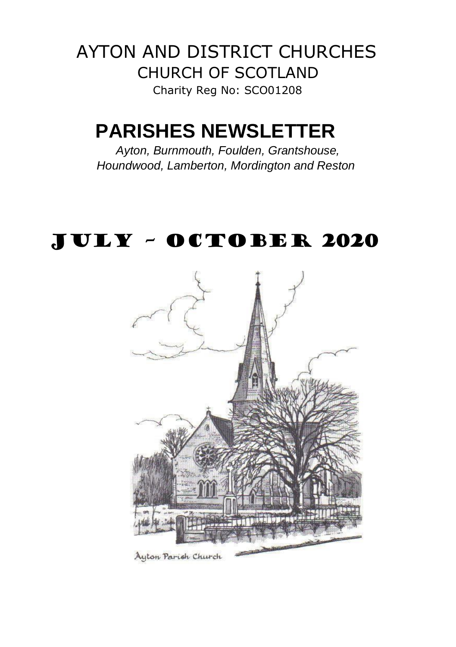AYTON AND DISTRICT CHURCHES CHURCH OF SCOTLAND Charity Reg No: SCO01208

# **PARISHES NEWSLETTER**

*Ayton, Burnmouth, Foulden, Grantshouse, Houndwood, Lamberton, Mordington and Reston* 

# JULY – OCTOBER 2020



Ayton Parish Church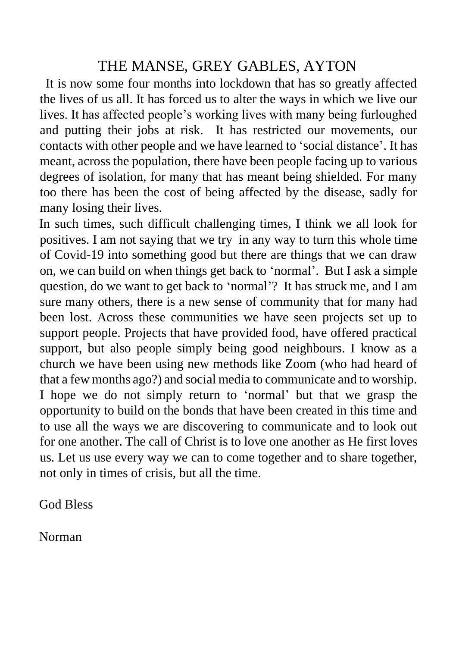# THE MANSE, GREY GABLES, AYTON

It is now some four months into lockdown that has so greatly affected the lives of us all. It has forced us to alter the ways in which we live our lives. It has affected people's working lives with many being furloughed and putting their jobs at risk. It has restricted our movements, our contacts with other people and we have learned to 'social distance'. It has meant, across the population, there have been people facing up to various degrees of isolation, for many that has meant being shielded. For many too there has been the cost of being affected by the disease, sadly for many losing their lives.

In such times, such difficult challenging times, I think we all look for positives. I am not saying that we try in any way to turn this whole time of Covid-19 into something good but there are things that we can draw on, we can build on when things get back to 'normal'. But I ask a simple question, do we want to get back to 'normal'? It has struck me, and I am sure many others, there is a new sense of community that for many had been lost. Across these communities we have seen projects set up to support people. Projects that have provided food, have offered practical support, but also people simply being good neighbours. I know as a church we have been using new methods like Zoom (who had heard of that a few months ago?) and social media to communicate and to worship. I hope we do not simply return to 'normal' but that we grasp the opportunity to build on the bonds that have been created in this time and to use all the ways we are discovering to communicate and to look out for one another. The call of Christ is to love one another as He first loves us. Let us use every way we can to come together and to share together, not only in times of crisis, but all the time.

God Bless

Norman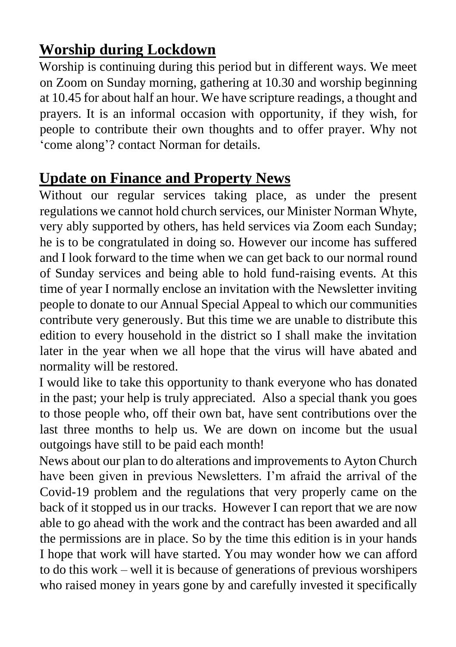# **Worship during Lockdown**

Worship is continuing during this period but in different ways. We meet on Zoom on Sunday morning, gathering at 10.30 and worship beginning at 10.45 for about half an hour. We have scripture readings, a thought and prayers. It is an informal occasion with opportunity, if they wish, for people to contribute their own thoughts and to offer prayer. Why not 'come along'? contact Norman for details.

# **Update on Finance and Property News**

Without our regular services taking place, as under the present regulations we cannot hold church services, our Minister Norman Whyte, very ably supported by others, has held services via Zoom each Sunday; he is to be congratulated in doing so. However our income has suffered and I look forward to the time when we can get back to our normal round of Sunday services and being able to hold fund-raising events. At this time of year I normally enclose an invitation with the Newsletter inviting people to donate to our Annual Special Appeal to which our communities contribute very generously. But this time we are unable to distribute this edition to every household in the district so I shall make the invitation later in the year when we all hope that the virus will have abated and normality will be restored.

I would like to take this opportunity to thank everyone who has donated in the past; your help is truly appreciated. Also a special thank you goes to those people who, off their own bat, have sent contributions over the last three months to help us. We are down on income but the usual outgoings have still to be paid each month!

News about our plan to do alterations and improvements to Ayton Church have been given in previous Newsletters. I'm afraid the arrival of the Covid-19 problem and the regulations that very properly came on the back of it stopped us in our tracks. However I can report that we are now able to go ahead with the work and the contract has been awarded and all the permissions are in place. So by the time this edition is in your hands I hope that work will have started. You may wonder how we can afford to do this work – well it is because of generations of previous worshipers who raised money in years gone by and carefully invested it specifically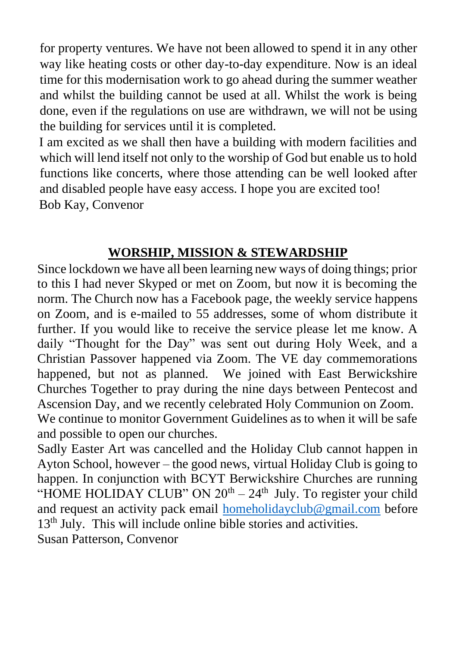for property ventures. We have not been allowed to spend it in any other way like heating costs or other day-to-day expenditure. Now is an ideal time for this modernisation work to go ahead during the summer weather and whilst the building cannot be used at all. Whilst the work is being done, even if the regulations on use are withdrawn, we will not be using the building for services until it is completed.

I am excited as we shall then have a building with modern facilities and which will lend itself not only to the worship of God but enable us to hold functions like concerts, where those attending can be well looked after and disabled people have easy access. I hope you are excited too! Bob Kay, Convenor

## **WORSHIP, MISSION & STEWARDSHIP**

Since lockdown we have all been learning new ways of doing things; prior to this I had never Skyped or met on Zoom, but now it is becoming the norm. The Church now has a Facebook page, the weekly service happens on Zoom, and is e-mailed to 55 addresses, some of whom distribute it further. If you would like to receive the service please let me know. A daily "Thought for the Day" was sent out during Holy Week, and a Christian Passover happened via Zoom. The VE day commemorations happened, but not as planned. We joined with East Berwickshire Churches Together to pray during the nine days between Pentecost and Ascension Day, and we recently celebrated Holy Communion on Zoom. We continue to monitor Government Guidelines as to when it will be safe and possible to open our churches.

Sadly Easter Art was cancelled and the Holiday Club cannot happen in Ayton School, however – the good news, virtual Holiday Club is going to happen. In conjunction with BCYT Berwickshire Churches are running "HOME HOLIDAY CLUB" ON  $20<sup>th</sup> - 24<sup>th</sup>$  July. To register your child and request an activity pack email [homeholidayclub@gmail.com](mailto:homeholidayclub@gmail.com) before 13<sup>th</sup> July. This will include online bible stories and activities. Susan Patterson, Convenor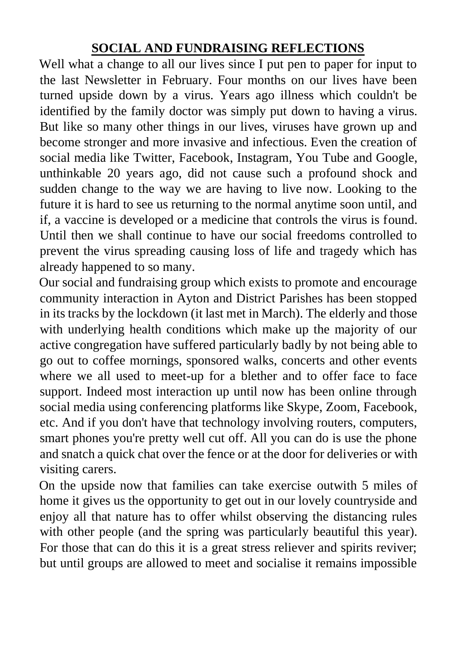## **SOCIAL AND FUNDRAISING REFLECTIONS**

Well what a change to all our lives since I put pen to paper for input to the last Newsletter in February. Four months on our lives have been turned upside down by a virus. Years ago illness which couldn't be identified by the family doctor was simply put down to having a virus. But like so many other things in our lives, viruses have grown up and become stronger and more invasive and infectious. Even the creation of social media like Twitter, Facebook, Instagram, You Tube and Google, unthinkable 20 years ago, did not cause such a profound shock and sudden change to the way we are having to live now. Looking to the future it is hard to see us returning to the normal anytime soon until, and if, a vaccine is developed or a medicine that controls the virus is found. Until then we shall continue to have our social freedoms controlled to prevent the virus spreading causing loss of life and tragedy which has already happened to so many.

Our social and fundraising group which exists to promote and encourage community interaction in Ayton and District Parishes has been stopped in its tracks by the lockdown (it last met in March). The elderly and those with underlying health conditions which make up the majority of our active congregation have suffered particularly badly by not being able to go out to coffee mornings, sponsored walks, concerts and other events where we all used to meet-up for a blether and to offer face to face support. Indeed most interaction up until now has been online through social media using conferencing platforms like Skype, Zoom, Facebook, etc. And if you don't have that technology involving routers, computers, smart phones you're pretty well cut off. All you can do is use the phone and snatch a quick chat over the fence or at the door for deliveries or with visiting carers.

On the upside now that families can take exercise outwith 5 miles of home it gives us the opportunity to get out in our lovely countryside and enjoy all that nature has to offer whilst observing the distancing rules with other people (and the spring was particularly beautiful this year). For those that can do this it is a great stress reliever and spirits reviver; but until groups are allowed to meet and socialise it remains impossible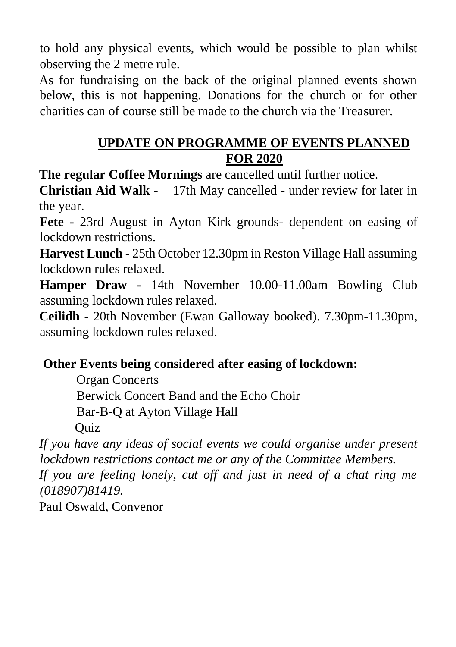to hold any physical events, which would be possible to plan whilst observing the 2 metre rule.

As for fundraising on the back of the original planned events shown below, this is not happening. Donations for the church or for other charities can of course still be made to the church via the Treasurer.

#### **UPDATE ON PROGRAMME OF EVENTS PLANNED FOR 2020**

**The regular Coffee Mornings** are cancelled until further notice.

**Christian Aid Walk -** 17th May cancelled - under review for later in the year.

**Fete -** 23rd August in Ayton Kirk grounds- dependent on easing of lockdown restrictions.

**Harvest Lunch -** 25th October 12.30pm in Reston Village Hall assuming lockdown rules relaxed.

**Hamper Draw -** 14th November 10.00-11.00am Bowling Club assuming lockdown rules relaxed.

**Ceilidh -** 20th November (Ewan Galloway booked). 7.30pm-11.30pm, assuming lockdown rules relaxed.

#### **Other Events being considered after easing of lockdown:**

Organ Concerts

Berwick Concert Band and the Echo Choir

Bar-B-Q at Ayton Village Hall

**Ouiz** 

*If you have any ideas of social events we could organise under present lockdown restrictions contact me or any of the Committee Members.*

*If you are feeling lonely, cut off and just in need of a chat ring me (018907)81419.*

Paul Oswald, Convenor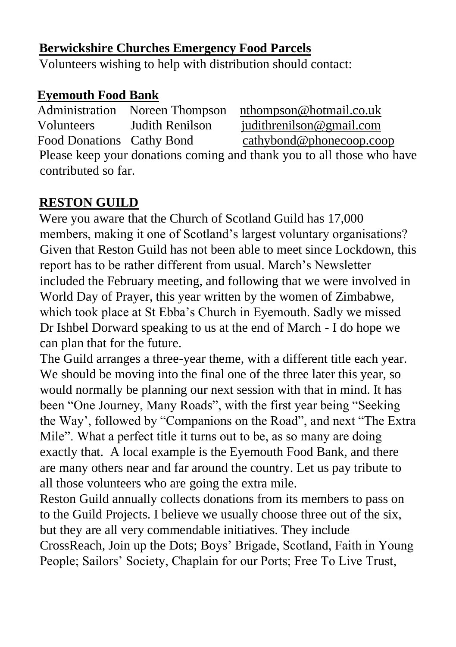#### **Berwickshire Churches Emergency Food Parcels**

Volunteers wishing to help with distribution should contact:

## **Eyemouth Food Bank**

Administration Noreen Thompson nthompson@hotmail.co.uk Volunteers Judith Renilson [judithrenilson@gmail.com](mailto:judithrenilson@gmail.com) Food Donations Cathy Bond [cathybond@phonecoop.coop](mailto:cathybond@phonecoop.coop) Please keep your donations coming and thank you to all those who have contributed so far.

# **RESTON GUILD**

Were you aware that the Church of Scotland Guild has 17,000 members, making it one of Scotland's largest voluntary organisations? Given that Reston Guild has not been able to meet since Lockdown, this report has to be rather different from usual. March's Newsletter included the February meeting, and following that we were involved in World Day of Prayer, this year written by the women of Zimbabwe, which took place at St Ebba's Church in Eyemouth. Sadly we missed Dr Ishbel Dorward speaking to us at the end of March - I do hope we can plan that for the future.

The Guild arranges a three-year theme, with a different title each year. We should be moving into the final one of the three later this year, so would normally be planning our next session with that in mind. It has been "One Journey, Many Roads", with the first year being "Seeking the Way', followed by "Companions on the Road", and next "The Extra Mile". What a perfect title it turns out to be, as so many are doing exactly that. A local example is the Eyemouth Food Bank, and there are many others near and far around the country. Let us pay tribute to all those volunteers who are going the extra mile.

Reston Guild annually collects donations from its members to pass on to the Guild Projects. I believe we usually choose three out of the six, but they are all very commendable initiatives. They include CrossReach, Join up the Dots; Boys' Brigade, Scotland, Faith in Young People; Sailors' Society, Chaplain for our Ports; Free To Live Trust,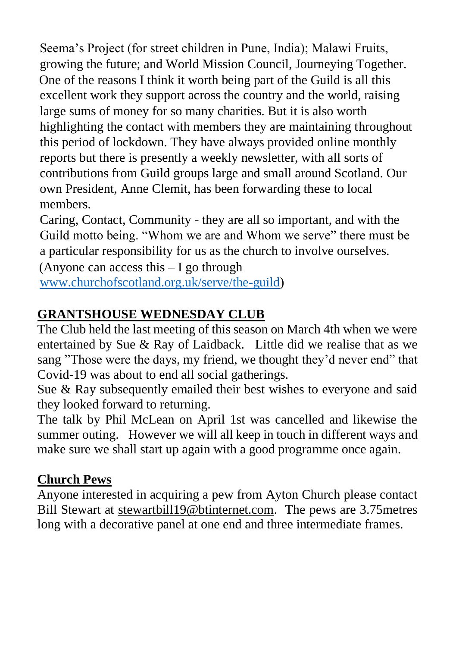Seema's Project (for street children in Pune, India); Malawi Fruits, growing the future; and World Mission Council, Journeying Together. One of the reasons I think it worth being part of the Guild is all this excellent work they support across the country and the world, raising large sums of money for so many charities. But it is also worth highlighting the contact with members they are maintaining throughout this period of lockdown. They have always provided online monthly reports but there is presently a weekly newsletter, with all sorts of contributions from Guild groups large and small around Scotland. Our own President, Anne Clemit, has been forwarding these to local members.

Caring, Contact, Community - they are all so important, and with the Guild motto being. "Whom we are and Whom we serve" there must be a particular responsibility for us as the church to involve ourselves.

(Anyone can access this  $-I$  go through [www.churchofscotland.org.uk/serve/the-guild\)](http://www.churchofscotland.org.uk/serve/the-guild)

## **GRANTSHOUSE WEDNESDAY CLUB**

The Club held the last meeting of this season on March 4th when we were entertained by Sue & Ray of Laidback. Little did we realise that as we sang "Those were the days, my friend, we thought they'd never end" that Covid-19 was about to end all social gatherings.

Sue & Ray subsequently emailed their best wishes to everyone and said they looked forward to returning.

The talk by Phil McLean on April 1st was cancelled and likewise the summer outing. However we will all keep in touch in different ways and make sure we shall start up again with a good programme once again.

#### **Church Pews**

Anyone interested in acquiring a pew from Ayton Church please contact Bill Stewart at stewartbil[l19@btinternet.com.](mailto:19@btinternet.com) The pews are 3.75metres long with a decorative panel at one end and three intermediate frames.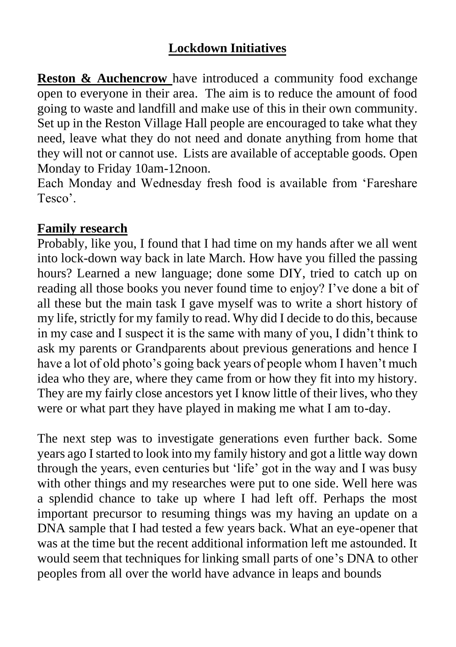## **Lockdown Initiatives**

**Reston & Auchencrow** have introduced a community food exchange open to everyone in their area. The aim is to reduce the amount of food going to waste and landfill and make use of this in their own community. Set up in the Reston Village Hall people are encouraged to take what they need, leave what they do not need and donate anything from home that they will not or cannot use. Lists are available of acceptable goods. Open Monday to Friday 10am-12noon.

Each Monday and Wednesday fresh food is available from 'Fareshare Tesco'.

#### **Family research**

Probably, like you, I found that I had time on my hands after we all went into lock-down way back in late March. How have you filled the passing hours? Learned a new language; done some DIY, tried to catch up on reading all those books you never found time to enjoy? I've done a bit of all these but the main task I gave myself was to write a short history of my life, strictly for my family to read. Why did I decide to do this, because in my case and I suspect it is the same with many of you, I didn't think to ask my parents or Grandparents about previous generations and hence I have a lot of old photo's going back years of people whom I haven't much idea who they are, where they came from or how they fit into my history. They are my fairly close ancestors yet I know little of their lives, who they were or what part they have played in making me what I am to-day.

The next step was to investigate generations even further back. Some years ago I started to look into my family history and got a little way down through the years, even centuries but 'life' got in the way and I was busy with other things and my researches were put to one side. Well here was a splendid chance to take up where I had left off. Perhaps the most important precursor to resuming things was my having an update on a DNA sample that I had tested a few years back. What an eye-opener that was at the time but the recent additional information left me astounded. It would seem that techniques for linking small parts of one's DNA to other peoples from all over the world have advance in leaps and bounds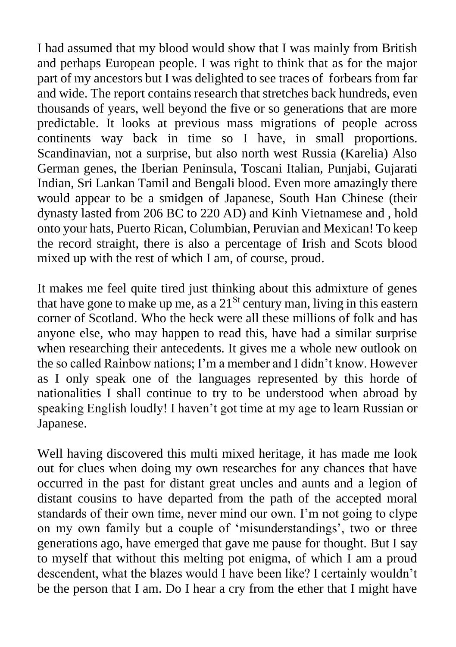I had assumed that my blood would show that I was mainly from British and perhaps European people. I was right to think that as for the major part of my ancestors but I was delighted to see traces of forbears from far and wide. The report contains research that stretches back hundreds, even thousands of years, well beyond the five or so generations that are more predictable. It looks at previous mass migrations of people across continents way back in time so I have, in small proportions. Scandinavian, not a surprise, but also north west Russia (Karelia) Also German genes, the Iberian Peninsula, Toscani Italian, Punjabi, Gujarati Indian, Sri Lankan Tamil and Bengali blood. Even more amazingly there would appear to be a smidgen of Japanese, South Han Chinese (their dynasty lasted from 206 BC to 220 AD) and Kinh Vietnamese and , hold onto your hats, Puerto Rican, Columbian, Peruvian and Mexican! To keep the record straight, there is also a percentage of Irish and Scots blood mixed up with the rest of which I am, of course, proud.

It makes me feel quite tired just thinking about this admixture of genes that have gone to make up me, as a  $21^{St}$  century man, living in this eastern corner of Scotland. Who the heck were all these millions of folk and has anyone else, who may happen to read this, have had a similar surprise when researching their antecedents. It gives me a whole new outlook on the so called Rainbow nations; I'm a member and I didn't know. However as I only speak one of the languages represented by this horde of nationalities I shall continue to try to be understood when abroad by speaking English loudly! I haven't got time at my age to learn Russian or Japanese.

Well having discovered this multi mixed heritage, it has made me look out for clues when doing my own researches for any chances that have occurred in the past for distant great uncles and aunts and a legion of distant cousins to have departed from the path of the accepted moral standards of their own time, never mind our own. I'm not going to clype on my own family but a couple of 'misunderstandings', two or three generations ago, have emerged that gave me pause for thought. But I say to myself that without this melting pot enigma, of which I am a proud descendent, what the blazes would I have been like? I certainly wouldn't be the person that I am. Do I hear a cry from the ether that I might have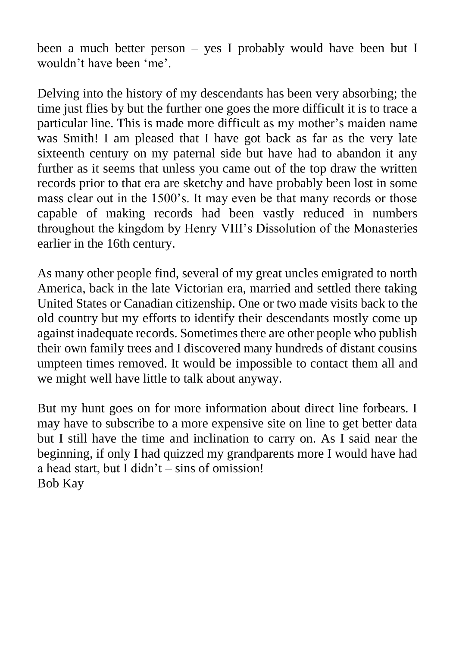been a much better person – yes I probably would have been but I wouldn't have been 'me'.

Delving into the history of my descendants has been very absorbing; the time just flies by but the further one goes the more difficult it is to trace a particular line. This is made more difficult as my mother's maiden name was Smith! I am pleased that I have got back as far as the very late sixteenth century on my paternal side but have had to abandon it any further as it seems that unless you came out of the top draw the written records prior to that era are sketchy and have probably been lost in some mass clear out in the 1500's. It may even be that many records or those capable of making records had been vastly reduced in numbers throughout the kingdom by Henry VIII's Dissolution of the Monasteries earlier in the 16th century.

As many other people find, several of my great uncles emigrated to north America, back in the late Victorian era, married and settled there taking United States or Canadian citizenship. One or two made visits back to the old country but my efforts to identify their descendants mostly come up against inadequate records. Sometimes there are other people who publish their own family trees and I discovered many hundreds of distant cousins umpteen times removed. It would be impossible to contact them all and we might well have little to talk about anyway.

But my hunt goes on for more information about direct line forbears. I may have to subscribe to a more expensive site on line to get better data but I still have the time and inclination to carry on. As I said near the beginning, if only I had quizzed my grandparents more I would have had a head start, but I didn't – sins of omission! Bob Kay